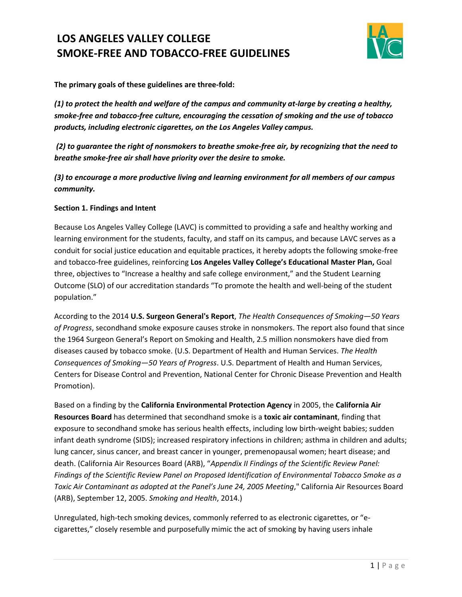

 **The primary goals of these guidelines are three-fold:** 

*(1) to protect the health and welfare of the campus and community at-large by creating a healthy, smoke-free and tobacco-free culture, encouraging the cessation of smoking and the use of tobacco products, including electronic cigarettes, on the Los Angeles Valley campus.* 

 *(2) to guarantee the right of nonsmokers to breathe smoke-free air, by recognizing that the need to breathe smoke-free air shall have priority over the desire to smoke.* 

 *(3) to encourage a more productive living and learning environment for all members of our campus community.* 

#### **Section 1. Findings and Intent**

 Because Los Angeles Valley College (LAVC) is committed to providing a safe and healthy working and learning environment for the students, faculty, and staff on its campus, and because LAVC serves as a conduit for social justice education and equitable practices, it hereby adopts the following smoke-free and tobacco-free guidelines, reinforcing **Los Angeles Valley College's Educational Master Plan,** Goal three, objectives to "Increase a healthy and safe college environment," and the Student Learning Outcome (SLO) of our accreditation standards "To promote the health and well-being of the student population."

 the 1964 Surgeon General's Report on Smoking and Health, 2.5 million nonsmokers have died from diseases caused by tobacco smoke. (U.S. Department of Health and Human Services. *The Health*  Centers for Disease Control and Prevention, National Center for Chronic Disease Prevention and Health According to the 2014 **U.S. Surgeon General's Report**, *The Health Consequences of Smoking—50 Years of Progress*, secondhand smoke exposure causes stroke in nonsmokers. The report also found that since *Consequences of Smoking—50 Years of Progress*. U.S. Department of Health and Human Services, Promotion).

 Based on a finding by the **California Environmental Protection Agency** in 2005, the **California Air**   *Toxic Air Contaminant as adopted at the Panel's June 24, 2005 Meeting*," California Air Resources Board (ARB), September 12, 2005. *Smoking and Health*, 2014.) **Resources Board** has determined that secondhand smoke is a **toxic air contaminant**, finding that exposure to secondhand smoke has serious health effects, including low birth-weight babies; sudden infant death syndrome (SIDS); increased respiratory infections in children; asthma in children and adults; lung cancer, sinus cancer, and breast cancer in younger, premenopausal women; heart disease; and death. (California Air Resources Board (ARB), "*Appendix II Findings of the Scientific Review Panel: Findings of the Scientific Review Panel on Proposed Identification of Environmental Tobacco Smoke as a* 

Unregulated, high-tech smoking devices, commonly referred to as electronic cigarettes, or "ecigarettes," closely resemble and purposefully mimic the act of smoking by having users inhale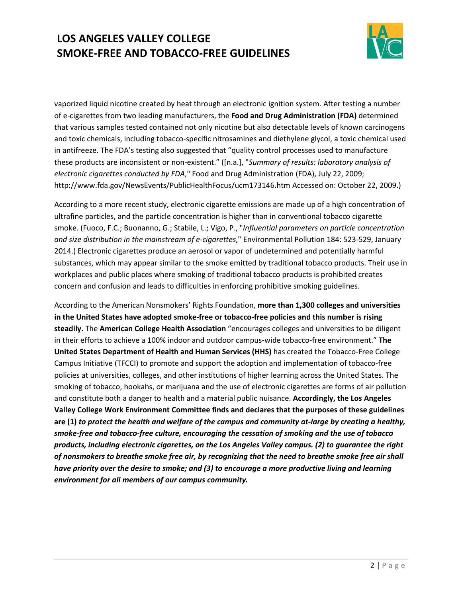

 *electronic cigarettes conducted by FDA*," Food and Drug Administration (FDA), July 22, 2009; <http://www.fda.gov/NewsEvents/PublicHealthFocus/ucm173146.htm>Accessed on: October 22, 2009.) vaporized liquid nicotine created by heat through an electronic ignition system. After testing a number of e-cigarettes from two leading manufacturers, the **Food and Drug Administration (FDA)** determined that various samples tested contained not only nicotine but also detectable levels of known carcinogens and toxic chemicals, including tobacco-specific nitrosamines and diethylene glycol, a toxic chemical used in antifreeze. The FDA's testing also suggested that "quality control processes used to manufacture these products are inconsistent or non-existent." ([n.a.], "*Summary of results: laboratory analysis of* 

 According to a more recent study, electronic cigarette emissions are made up of a high concentration of smoke. (Fuoco, F.C.; Buonanno, G.; Stabile, L.; Vigo, P., "*Influential parameters on particle concentration*  substances, which may appear similar to the smoke emitted by traditional tobacco products. Their use in concern and confusion and leads to difficulties in enforcing prohibitive smoking guidelines. ultrafine particles, and the particle concentration is higher than in conventional tobacco cigarette *and size distribution in the mainstream of e-cigarettes*," Environmental Pollution 184: 523-529, January 2014.) Electronic cigarettes produce an aerosol or vapor of undetermined and potentially harmful workplaces and public places where smoking of traditional tobacco products is prohibited creates

 **in the United States have adopted smoke-free or tobacco-free policies and this number is rising**  policies at universities, colleges, and other institutions of higher learning across the United States. The  **Valley College Work Environment Committee finds and declares that the purposes of these guidelines**   **are (1)** *to protect the health and welfare of the campus and community at-large by creating a healthy, have priority over the desire to smoke; and (3) to encourage a more productive living and learning*  According to the American Nonsmokers' Rights Foundation, **more than 1,300 colleges and universities steadily.** The **American College Health Association** "encourages colleges and universities to be diligent in their efforts to achieve a 100% indoor and outdoor campus-wide tobacco-free environment." **The United States Department of Health and Human Services (HHS)** has created the Tobacco-Free College Campus Initiative (TFCCI) to promote and support the adoption and implementation of tobacco-free smoking of tobacco, hookahs, or marijuana and the use of electronic cigarettes are forms of air pollution and constitute both a danger to health and a material public nuisance. **Accordingly, the Los Angeles**  *smoke-free and tobacco-free culture, encouraging the cessation of smoking and the use of tobacco products, including electronic cigarettes, on the Los Angeles Valley campus. (2) to guarantee the right of nonsmokers to breathe smoke free air, by recognizing that the need to breathe smoke free air shall environment for all members of our campus community.*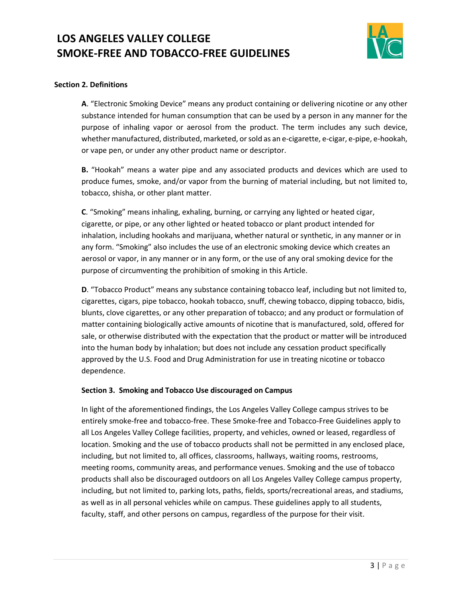

### **Section 2. Definitions**

 **A**. "Electronic Smoking Device" means any product containing or delivering nicotine or any other purpose of inhaling vapor or aerosol from the product. The term includes any such device, whether manufactured, distributed, marketed, or sold as an e-cigarette, e-cigar, e-pipe, e-hookah, substance intended for human consumption that can be used by a person in any manner for the or vape pen, or under any other product name or descriptor.

 **B.** "Hookah" means a water pipe and any associated products and devices which are used to produce fumes, smoke, and/or vapor from the burning of material including, but not limited to, tobacco, shisha, or other plant matter.

 cigarette, or pipe, or any other lighted or heated tobacco or plant product intended for any form. "Smoking" also includes the use of an electronic smoking device which creates an aerosol or vapor, in any manner or in any form, or the use of any oral smoking device for the **C**. "Smoking" means inhaling, exhaling, burning, or carrying any lighted or heated cigar, inhalation, including hookahs and marijuana, whether natural or synthetic, in any manner or in purpose of circumventing the prohibition of smoking in this Article.

 **D**. "Tobacco Product" means any substance containing tobacco leaf, including but not limited to, blunts, clove cigarettes, or any other preparation of tobacco; and any product or formulation of sale, or otherwise distributed with the expectation that the product or matter will be introduced approved by the U.S. Food and Drug Administration for use in treating nicotine or tobacco cigarettes, cigars, pipe tobacco, hookah tobacco, snuff, chewing tobacco, dipping tobacco, bidis, matter containing biologically active amounts of nicotine that is manufactured, sold, offered for into the human body by inhalation; but does not include any cessation product specifically dependence.

#### **Section 3. Smoking and Tobacco Use discouraged on Campus**

 entirely smoke-free and tobacco-free. These Smoke-free and Tobacco-Free Guidelines apply to all Los Angeles Valley College facilities, property, and vehicles, owned or leased, regardless of location. Smoking and the use of tobacco products shall not be permitted in any enclosed place, products shall also be discouraged outdoors on all Los Angeles Valley College campus property, as well as in all personal vehicles while on campus. These guidelines apply to all students, In light of the aforementioned findings, the Los Angeles Valley College campus strives to be including, but not limited to, all offices, classrooms, hallways, waiting rooms, restrooms, meeting rooms, community areas, and performance venues. Smoking and the use of tobacco including, but not limited to, parking lots, paths, fields, sports/recreational areas, and stadiums, faculty, staff, and other persons on campus, regardless of the purpose for their visit.